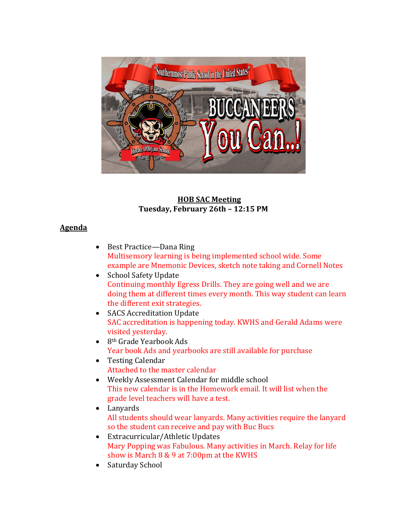

### **HOB SAC Meeting Tuesday, February 26th – 12:15 PM**

### **Agenda**

- Best Practice—Dana Ring Multisensory learning is being implemented school wide. Some example are Mnemonic Devices, sketch note taking and Cornell Notes
- School Safety Update Continuing monthly Egress Drills. They are going well and we are doing them at different times every month. This way student can learn the different exit strategies.
- SACS Accreditation Update SAC accreditation is happening today. KWHS and Gerald Adams were visited yesterday.
- $\bullet$  8<sup>th</sup> Grade Yearbook Ads Year book Ads and yearbooks are still available for purchase
- Testing Calendar Attached to the master calendar
- Weekly Assessment Calendar for middle school This new calendar is in the Homework email. It will list when the grade level teachers will have a test.
- Lanyards All students should wear lanyards. Many activities require the lanyard so the student can receive and pay with Buc Bucs
- Extracurricular/Athletic Updates Mary Popping was Fabulous. Many activities in March. Relay for life show is March 8 & 9 at 7:00pm at the KWHS
- Saturday School